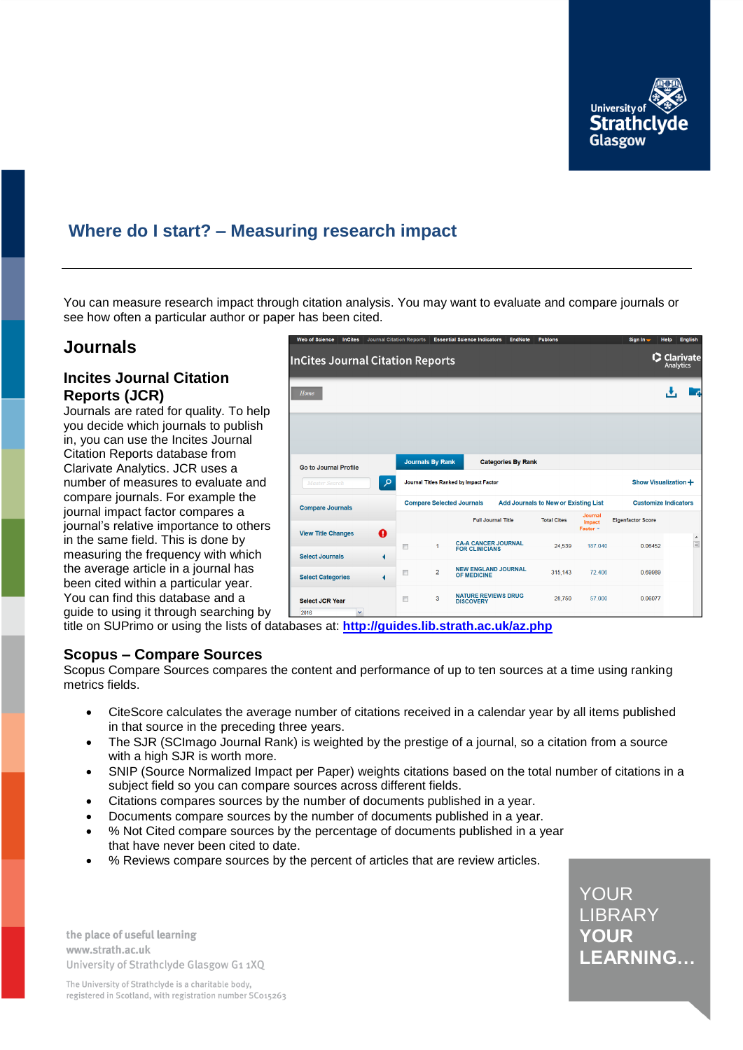

# **Where do I start? – Measuring research impact**

You can measure research impact through citation analysis. You may want to evaluate and compare journals or see how often a particular author or paper has been cited.

## **Journals**

#### **Incites Journal Citation Reports (JCR)**

Journals are rated for quality. To help you decide which journals to publish in, you can use the Incites Journal Citation Reports database from Clarivate Analytics. JCR uses a number of measures to evaluate and compare journals. For example the journal impact factor compares a journal's relative importance to others in the same field. This is done by measuring the frequency with which the average article in a journal has been cited within a particular year. You can find this database and a guide to using it through searching by



title on SUPrimo or using the lists of databases at: **<http://guides.lib.strath.ac.uk/az.php>**

#### **Scopus – Compare Sources**

Scopus Compare Sources compares the content and performance of up to ten sources at a time using ranking metrics fields.

- CiteScore calculates the average number of citations received in a calendar year by all items published in that source in the preceding three years.
- The SJR (SCImago Journal Rank) is weighted by the prestige of a journal, so a citation from a source with a high SJR is worth more.
- SNIP (Source Normalized Impact per Paper) weights citations based on the total number of citations in a subject field so you can compare sources across different fields.
- Citations compares sources by the number of documents published in a year.
- Documents compare sources by the number of documents published in a year.
- % Not Cited compare sources by the percentage of documents published in a year that have never been cited to date.
- % Reviews compare sources by the percent of articles that are review articles.

LIBRARY YOUR **NO** LEARNING... YOUR

the place of useful learning www.strath.ac.uk University of Strathclyde Glasgow G1 1XQ

The University of Strathclyde is a charitable body, registered in Scotland, with registration number SC015263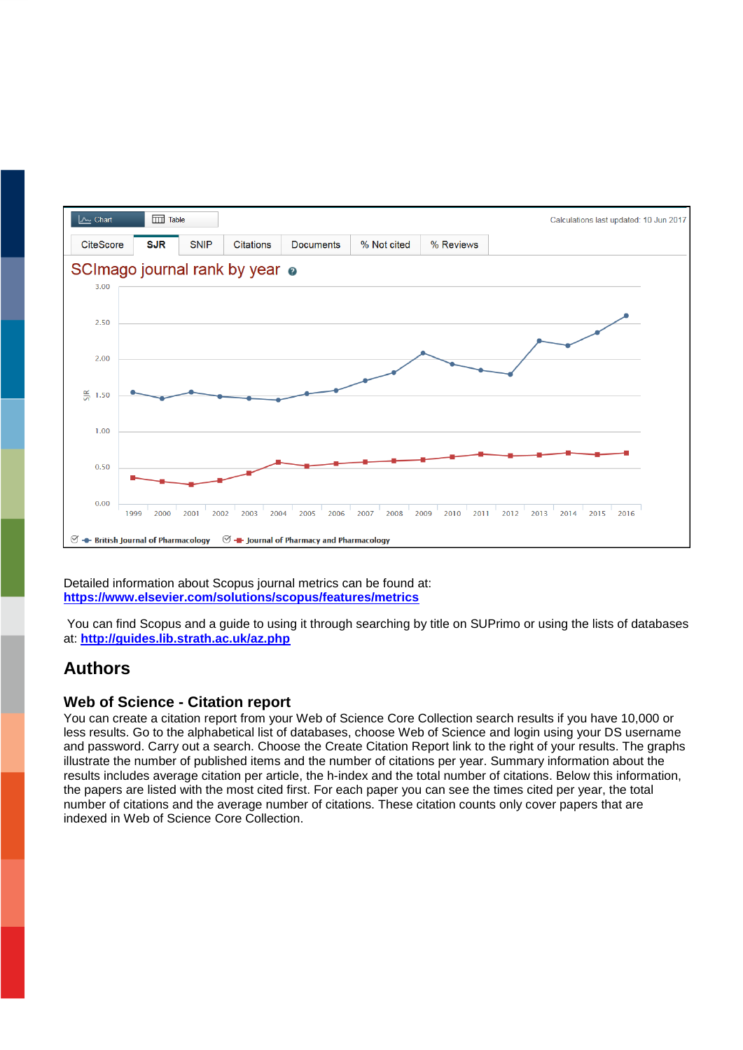

Detailed information about Scopus journal metrics can be found at: **<https://www.elsevier.com/solutions/scopus/features/metrics>**

You can find Scopus and a guide to using it through searching by title on SUPrimo or using the lists of databases at: **<http://guides.lib.strath.ac.uk/az.php>**

# **Authors**

## **Web of Science - Citation report**

You can create a citation report from your Web of Science Core Collection search results if you have 10,000 or less results. Go to the alphabetical list of databases, choose Web of Science and login using your DS username and password. Carry out a search. Choose the Create Citation Report link to the right of your results. The graphs illustrate the number of published items and the number of citations per year. Summary information about the results includes average citation per article, the h-index and the total number of citations. Below this information, the papers are listed with the most cited first. For each paper you can see the times cited per year, the total number of citations and the average number of citations. These citation counts only cover papers that are indexed in Web of Science Core Collection.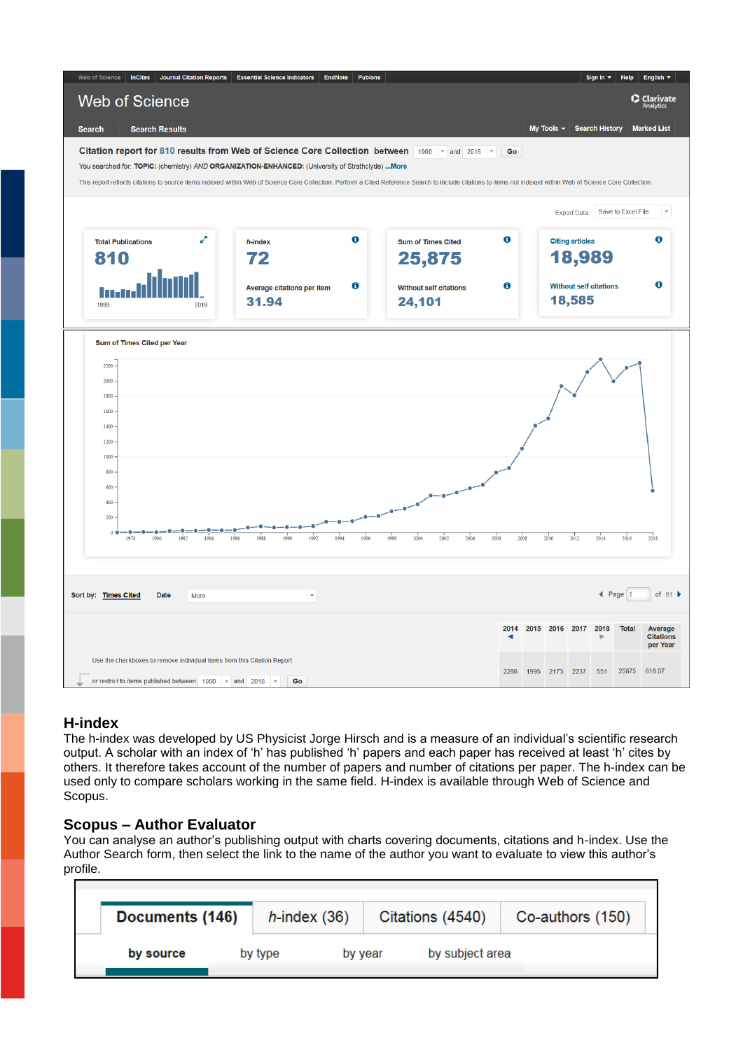

#### **H-index**

The h-index was developed by US Physicist Jorge Hirsch and is a measure of an individual's scientific research output. A scholar with an index of 'h' has published 'h' papers and each paper has received at least 'h' cites by others. It therefore takes account of the number of papers and number of citations per paper. The h-index can be used only to compare scholars working in the same field. H-index is available through Web of Science and Scopus.

## **Scopus – Author Evaluator**

You can analyse an author's publishing output with charts covering documents, citations and h-index. Use the Author Search form, then select the link to the name of the author you want to evaluate to view this author's profile.

|           | Documents (146) |  | $h$ -index (36) |  | Citations (4540) | Co-authors (150) |  |  |
|-----------|-----------------|--|-----------------|--|------------------|------------------|--|--|
| by source | by type         |  | by year         |  | by subject area  |                  |  |  |